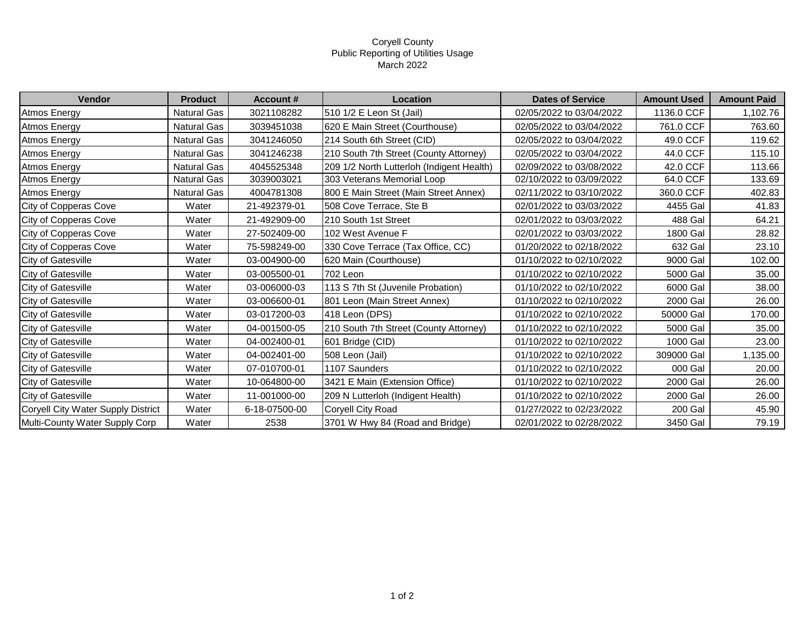## Coryell County Public Reporting of Utilities Usage March 2022

| Vendor                             | <b>Product</b>     | <b>Account #</b> | Location                                  | <b>Dates of Service</b>  | <b>Amount Used</b> | <b>Amount Paid</b> |
|------------------------------------|--------------------|------------------|-------------------------------------------|--------------------------|--------------------|--------------------|
| <b>Atmos Energy</b>                | <b>Natural Gas</b> | 3021108282       | 510 1/2 E Leon St (Jail)                  | 02/05/2022 to 03/04/2022 | 1136.0 CCF         | 1,102.76           |
| Atmos Energy                       | Natural Gas        | 3039451038       | 620 E Main Street (Courthouse)            | 02/05/2022 to 03/04/2022 | 761.0 CCF          | 763.60             |
| Atmos Energy                       | Natural Gas        | 3041246050       | 214 South 6th Street (CID)                | 02/05/2022 to 03/04/2022 | 49.0 CCF           | 119.62             |
| <b>Atmos Energy</b>                | Natural Gas        | 3041246238       | 210 South 7th Street (County Attorney)    | 02/05/2022 to 03/04/2022 | 44.0 CCF           | 115.10             |
| <b>Atmos Energy</b>                | Natural Gas        | 4045525348       | 209 1/2 North Lutterloh (Indigent Health) | 02/09/2022 to 03/08/2022 | 42.0 CCF           | 113.66             |
| Atmos Energy                       | Natural Gas        | 3039003021       | 303 Veterans Memorial Loop                | 02/10/2022 to 03/09/2022 | 64.0 CCF           | 133.69             |
| Atmos Energy                       | <b>Natural Gas</b> | 4004781308       | 800 E Main Street (Main Street Annex)     | 02/11/2022 to 03/10/2022 | 360.0 CCF          | 402.83             |
| City of Copperas Cove              | Water              | 21-492379-01     | 508 Cove Terrace, Ste B                   | 02/01/2022 to 03/03/2022 | 4455 Gal           | 41.83              |
| City of Copperas Cove              | Water              | 21-492909-00     | 210 South 1st Street                      | 02/01/2022 to 03/03/2022 | 488 Gal            | 64.21              |
| City of Copperas Cove              | Water              | 27-502409-00     | 102 West Avenue F                         | 02/01/2022 to 03/03/2022 | 1800 Gal           | 28.82              |
| City of Copperas Cove              | Water              | 75-598249-00     | 330 Cove Terrace (Tax Office, CC)         | 01/20/2022 to 02/18/2022 | 632 Gal            | 23.10              |
| <b>City of Gatesville</b>          | Water              | 03-004900-00     | 620 Main (Courthouse)                     | 01/10/2022 to 02/10/2022 | 9000 Gal           | 102.00             |
| City of Gatesville                 | Water              | 03-005500-01     | 702 Leon                                  | 01/10/2022 to 02/10/2022 | 5000 Gal           | 35.00              |
| City of Gatesville                 | Water              | 03-006000-03     | 113 S 7th St (Juvenile Probation)         | 01/10/2022 to 02/10/2022 | 6000 Gal           | 38.00              |
| City of Gatesville                 | Water              | 03-006600-01     | 801 Leon (Main Street Annex)              | 01/10/2022 to 02/10/2022 | 2000 Gal           | 26.00              |
| <b>City of Gatesville</b>          | Water              | 03-017200-03     | 418 Leon (DPS)                            | 01/10/2022 to 02/10/2022 | 50000 Gal          | 170.00             |
| City of Gatesville                 | Water              | 04-001500-05     | 210 South 7th Street (County Attorney)    | 01/10/2022 to 02/10/2022 | 5000 Gal           | 35.00              |
| <b>City of Gatesville</b>          | Water              | 04-002400-01     | 601 Bridge (CID)                          | 01/10/2022 to 02/10/2022 | 1000 Gal           | 23.00              |
| City of Gatesville                 | Water              | 04-002401-00     | 508 Leon (Jail)                           | 01/10/2022 to 02/10/2022 | 309000 Gal         | 1,135.00           |
| City of Gatesville                 | Water              | 07-010700-01     | 1107 Saunders                             | 01/10/2022 to 02/10/2022 | 000 Gal            | 20.00              |
| City of Gatesville                 | Water              | 10-064800-00     | 3421 E Main (Extension Office)            | 01/10/2022 to 02/10/2022 | 2000 Gal           | 26.00              |
| <b>City of Gatesville</b>          | Water              | 11-001000-00     | 209 N Lutterloh (Indigent Health)         | 01/10/2022 to 02/10/2022 | 2000 Gal           | 26.00              |
| Coryell City Water Supply District | Water              | 6-18-07500-00    | Coryell City Road                         | 01/27/2022 to 02/23/2022 | 200 Gal            | 45.90              |
| Multi-County Water Supply Corp     | Water              | 2538             | 3701 W Hwy 84 (Road and Bridge)           | 02/01/2022 to 02/28/2022 | 3450 Gal           | 79.19              |